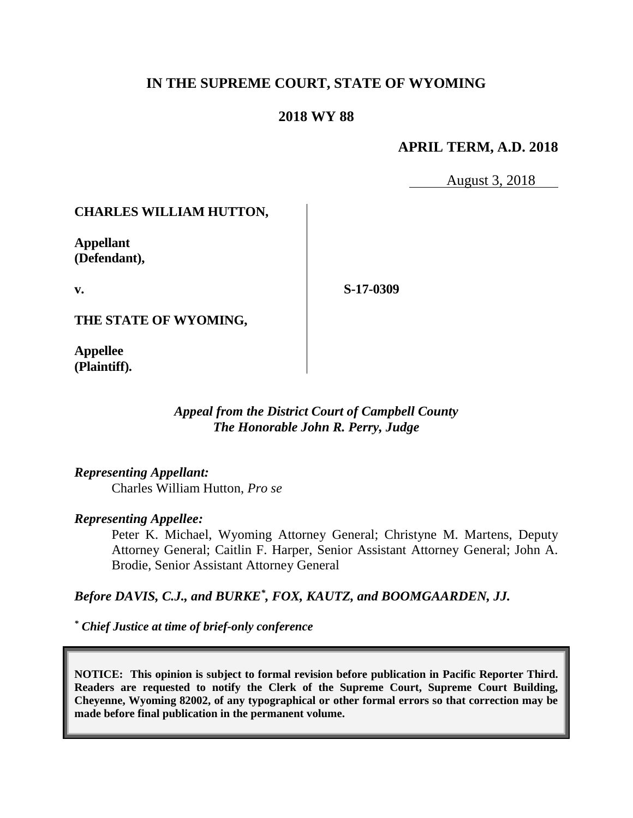# **IN THE SUPREME COURT, STATE OF WYOMING**

### **2018 WY 88**

## **APRIL TERM, A.D. 2018**

August 3, 2018

### **CHARLES WILLIAM HUTTON,**

**Appellant (Defendant),**

**v.**

**S-17-0309**

**THE STATE OF WYOMING,**

**Appellee (Plaintiff).**

### *Appeal from the District Court of Campbell County The Honorable John R. Perry, Judge*

### *Representing Appellant:*

Charles William Hutton, *Pro se*

#### *Representing Appellee:*

Peter K. Michael, Wyoming Attorney General; Christyne M. Martens, Deputy Attorney General; Caitlin F. Harper, Senior Assistant Attorney General; John A. Brodie, Senior Assistant Attorney General

### *Before DAVIS, C.J., and BURKE\* , FOX, KAUTZ, and BOOMGAARDEN, JJ.*

*\* Chief Justice at time of brief-only conference*

**NOTICE: This opinion is subject to formal revision before publication in Pacific Reporter Third. Readers are requested to notify the Clerk of the Supreme Court, Supreme Court Building, Cheyenne, Wyoming 82002, of any typographical or other formal errors so that correction may be made before final publication in the permanent volume.**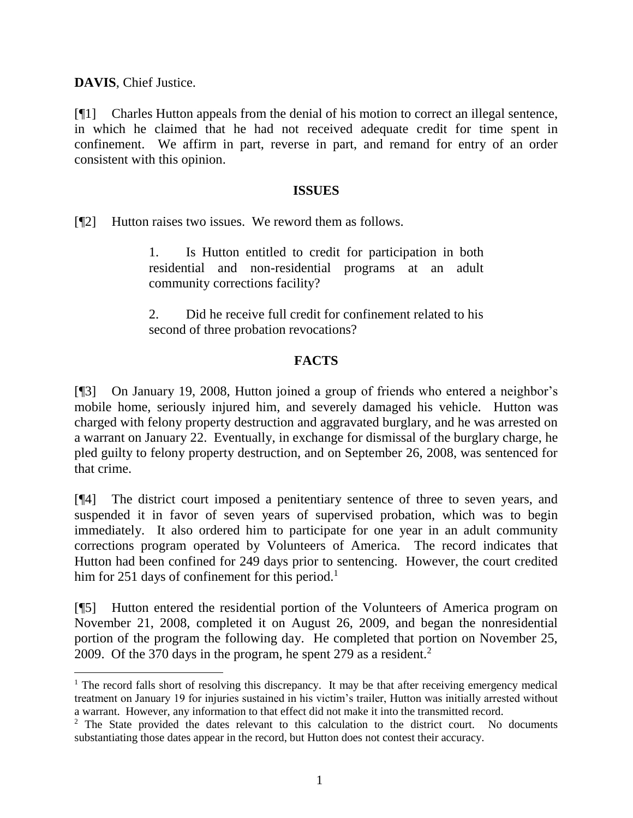**DAVIS**, Chief Justice.

[¶1] Charles Hutton appeals from the denial of his motion to correct an illegal sentence, in which he claimed that he had not received adequate credit for time spent in confinement. We affirm in part, reverse in part, and remand for entry of an order consistent with this opinion.

#### **ISSUES**

[¶2] Hutton raises two issues. We reword them as follows.

1. Is Hutton entitled to credit for participation in both residential and non-residential programs at an adult community corrections facility?

2. Did he receive full credit for confinement related to his second of three probation revocations?

### **FACTS**

[¶3] On January 19, 2008, Hutton joined a group of friends who entered a neighbor's mobile home, seriously injured him, and severely damaged his vehicle. Hutton was charged with felony property destruction and aggravated burglary, and he was arrested on a warrant on January 22. Eventually, in exchange for dismissal of the burglary charge, he pled guilty to felony property destruction, and on September 26, 2008, was sentenced for that crime.

[¶4] The district court imposed a penitentiary sentence of three to seven years, and suspended it in favor of seven years of supervised probation, which was to begin immediately. It also ordered him to participate for one year in an adult community corrections program operated by Volunteers of America. The record indicates that Hutton had been confined for 249 days prior to sentencing. However, the court credited him for 251 days of confinement for this period.<sup>1</sup>

[¶5] Hutton entered the residential portion of the Volunteers of America program on November 21, 2008, completed it on August 26, 2009, and began the nonresidential portion of the program the following day. He completed that portion on November 25, 2009. Of the 370 days in the program, he spent 279 as a resident.<sup>2</sup>

<sup>&</sup>lt;sup>1</sup> The record falls short of resolving this discrepancy. It may be that after receiving emergency medical treatment on January 19 for injuries sustained in his victim's trailer, Hutton was initially arrested without a warrant. However, any information to that effect did not make it into the transmitted record.

<sup>&</sup>lt;sup>2</sup> The State provided the dates relevant to this calculation to the district court. No documents substantiating those dates appear in the record, but Hutton does not contest their accuracy.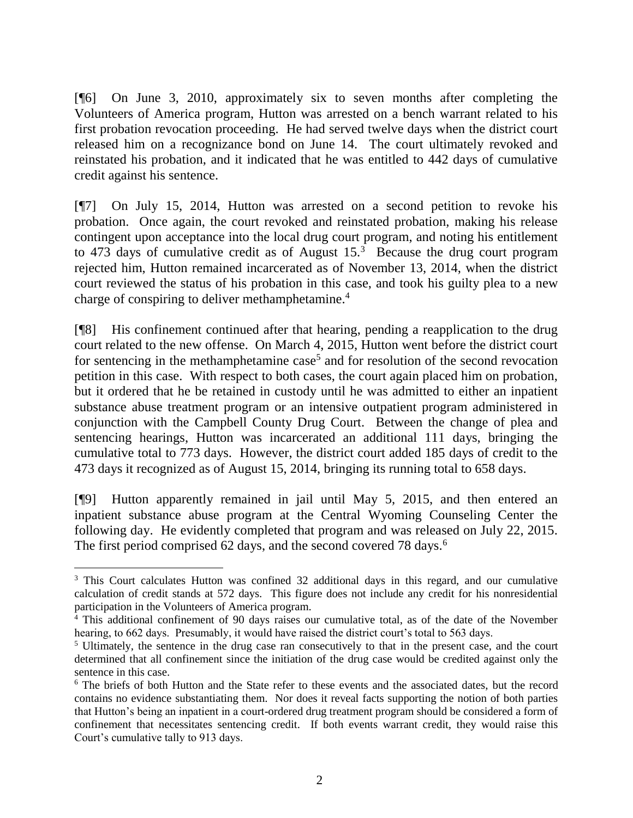[¶6] On June 3, 2010, approximately six to seven months after completing the Volunteers of America program, Hutton was arrested on a bench warrant related to his first probation revocation proceeding. He had served twelve days when the district court released him on a recognizance bond on June 14. The court ultimately revoked and reinstated his probation, and it indicated that he was entitled to 442 days of cumulative credit against his sentence.

[¶7] On July 15, 2014, Hutton was arrested on a second petition to revoke his probation. Once again, the court revoked and reinstated probation, making his release contingent upon acceptance into the local drug court program, and noting his entitlement to 473 days of cumulative credit as of August  $15<sup>3</sup>$  Because the drug court program rejected him, Hutton remained incarcerated as of November 13, 2014, when the district court reviewed the status of his probation in this case, and took his guilty plea to a new charge of conspiring to deliver methamphetamine.<sup>4</sup>

[¶8] His confinement continued after that hearing, pending a reapplication to the drug court related to the new offense. On March 4, 2015, Hutton went before the district court for sentencing in the methamphetamine case<sup>5</sup> and for resolution of the second revocation petition in this case. With respect to both cases, the court again placed him on probation, but it ordered that he be retained in custody until he was admitted to either an inpatient substance abuse treatment program or an intensive outpatient program administered in conjunction with the Campbell County Drug Court. Between the change of plea and sentencing hearings, Hutton was incarcerated an additional 111 days, bringing the cumulative total to 773 days. However, the district court added 185 days of credit to the 473 days it recognized as of August 15, 2014, bringing its running total to 658 days.

[¶9] Hutton apparently remained in jail until May 5, 2015, and then entered an inpatient substance abuse program at the Central Wyoming Counseling Center the following day. He evidently completed that program and was released on July 22, 2015. The first period comprised 62 days, and the second covered 78 days.<sup>6</sup>

l <sup>3</sup> This Court calculates Hutton was confined 32 additional days in this regard, and our cumulative calculation of credit stands at 572 days. This figure does not include any credit for his nonresidential participation in the Volunteers of America program.

<sup>4</sup> This additional confinement of 90 days raises our cumulative total, as of the date of the November hearing, to 662 days. Presumably, it would have raised the district court's total to 563 days.

<sup>&</sup>lt;sup>5</sup> Ultimately, the sentence in the drug case ran consecutively to that in the present case, and the court determined that all confinement since the initiation of the drug case would be credited against only the sentence in this case.

<sup>6</sup> The briefs of both Hutton and the State refer to these events and the associated dates, but the record contains no evidence substantiating them. Nor does it reveal facts supporting the notion of both parties that Hutton's being an inpatient in a court-ordered drug treatment program should be considered a form of confinement that necessitates sentencing credit. If both events warrant credit, they would raise this Court's cumulative tally to 913 days.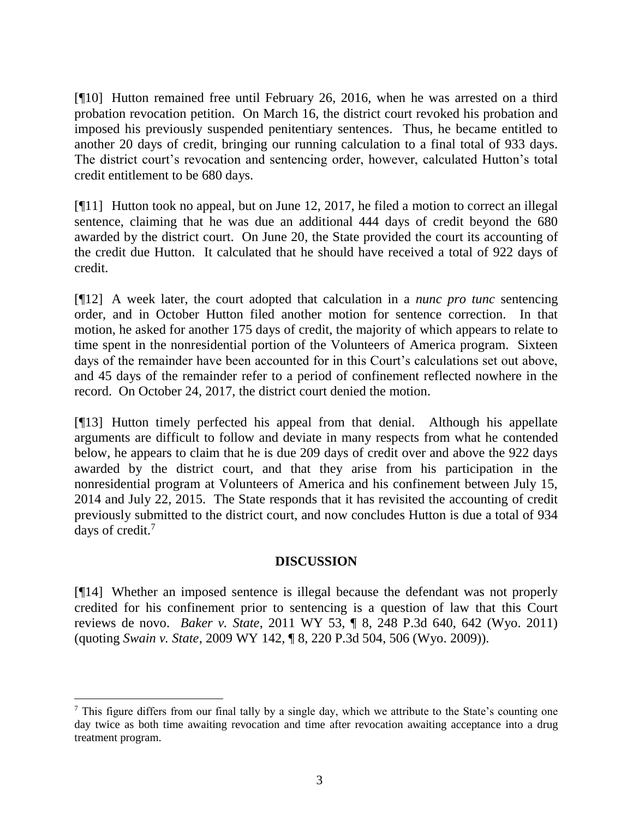[¶10] Hutton remained free until February 26, 2016, when he was arrested on a third probation revocation petition. On March 16, the district court revoked his probation and imposed his previously suspended penitentiary sentences. Thus, he became entitled to another 20 days of credit, bringing our running calculation to a final total of 933 days. The district court's revocation and sentencing order, however, calculated Hutton's total credit entitlement to be 680 days.

[¶11] Hutton took no appeal, but on June 12, 2017, he filed a motion to correct an illegal sentence, claiming that he was due an additional 444 days of credit beyond the 680 awarded by the district court. On June 20, the State provided the court its accounting of the credit due Hutton. It calculated that he should have received a total of 922 days of credit.

[¶12] A week later, the court adopted that calculation in a *nunc pro tunc* sentencing order, and in October Hutton filed another motion for sentence correction. In that motion, he asked for another 175 days of credit, the majority of which appears to relate to time spent in the nonresidential portion of the Volunteers of America program. Sixteen days of the remainder have been accounted for in this Court's calculations set out above, and 45 days of the remainder refer to a period of confinement reflected nowhere in the record. On October 24, 2017, the district court denied the motion.

[¶13] Hutton timely perfected his appeal from that denial. Although his appellate arguments are difficult to follow and deviate in many respects from what he contended below, he appears to claim that he is due 209 days of credit over and above the 922 days awarded by the district court, and that they arise from his participation in the nonresidential program at Volunteers of America and his confinement between July 15, 2014 and July 22, 2015. The State responds that it has revisited the accounting of credit previously submitted to the district court, and now concludes Hutton is due a total of 934 days of credit.<sup>7</sup>

### **DISCUSSION**

[¶14] Whether an imposed sentence is illegal because the defendant was not properly credited for his confinement prior to sentencing is a question of law that this Court reviews de novo. *Baker v. State*, 2011 WY 53, ¶ 8, 248 P.3d 640, 642 (Wyo. 2011) (quoting *Swain v. State*, 2009 WY 142, ¶ 8, 220 P.3d 504, 506 (Wyo. 2009)).

 $\frac{7}{7}$  This figure differs from our final tally by a single day, which we attribute to the State's counting one day twice as both time awaiting revocation and time after revocation awaiting acceptance into a drug treatment program.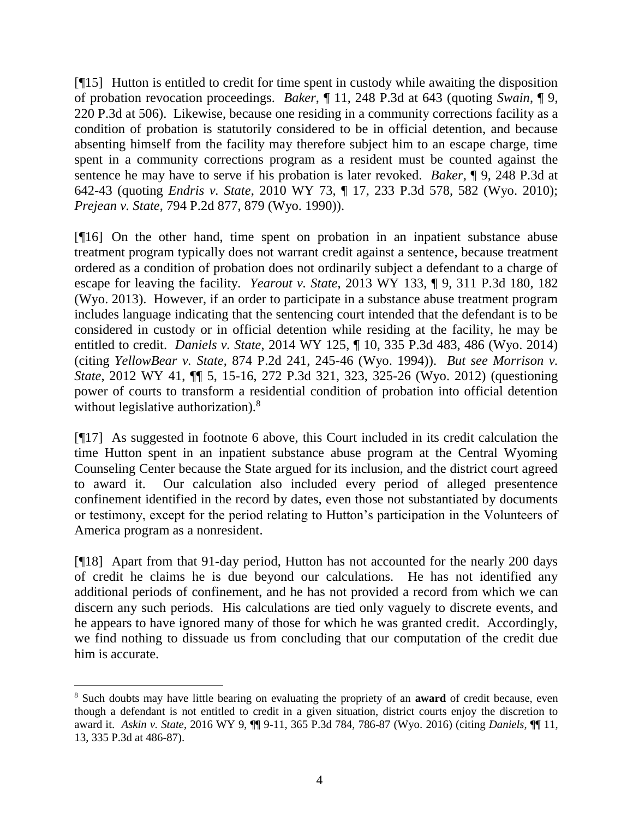[¶15] Hutton is entitled to credit for time spent in custody while awaiting the disposition of probation revocation proceedings. *Baker*, ¶ 11, 248 P.3d at 643 (quoting *Swain*, ¶ 9, 220 P.3d at 506). Likewise, because one residing in a community corrections facility as a condition of probation is statutorily considered to be in official detention, and because absenting himself from the facility may therefore subject him to an escape charge, time spent in a community corrections program as a resident must be counted against the sentence he may have to serve if his probation is later revoked. *Baker*, ¶ 9, 248 P.3d at 642-43 (quoting *Endris v. State*, 2010 WY 73, ¶ 17, 233 P.3d 578, 582 (Wyo. 2010); *Prejean v. State*, 794 P.2d 877, 879 (Wyo. 1990)).

[¶16] On the other hand, time spent on probation in an inpatient substance abuse treatment program typically does not warrant credit against a sentence, because treatment ordered as a condition of probation does not ordinarily subject a defendant to a charge of escape for leaving the facility. *Yearout v. State*, 2013 WY 133, ¶ 9, 311 P.3d 180, 182 (Wyo. 2013). However, if an order to participate in a substance abuse treatment program includes language indicating that the sentencing court intended that the defendant is to be considered in custody or in official detention while residing at the facility, he may be entitled to credit. *Daniels v. State*, 2014 WY 125, ¶ 10, 335 P.3d 483, 486 (Wyo. 2014) (citing *YellowBear v. State*, 874 P.2d 241, 245-46 (Wyo. 1994)). *But see Morrison v. State*, 2012 WY 41, ¶¶ 5, 15-16, 272 P.3d 321, 323, 325-26 (Wyo. 2012) (questioning power of courts to transform a residential condition of probation into official detention without legislative authorization).<sup>8</sup>

[¶17] As suggested in footnote 6 above, this Court included in its credit calculation the time Hutton spent in an inpatient substance abuse program at the Central Wyoming Counseling Center because the State argued for its inclusion, and the district court agreed to award it. Our calculation also included every period of alleged presentence confinement identified in the record by dates, even those not substantiated by documents or testimony, except for the period relating to Hutton's participation in the Volunteers of America program as a nonresident.

[¶18] Apart from that 91-day period, Hutton has not accounted for the nearly 200 days of credit he claims he is due beyond our calculations. He has not identified any additional periods of confinement, and he has not provided a record from which we can discern any such periods. His calculations are tied only vaguely to discrete events, and he appears to have ignored many of those for which he was granted credit. Accordingly, we find nothing to dissuade us from concluding that our computation of the credit due him is accurate.

<sup>8</sup> Such doubts may have little bearing on evaluating the propriety of an **award** of credit because, even though a defendant is not entitled to credit in a given situation, district courts enjoy the discretion to award it. *Askin v. State*, 2016 WY 9, ¶¶ 9-11, 365 P.3d 784, 786-87 (Wyo. 2016) (citing *Daniels*, ¶¶ 11, 13, 335 P.3d at 486-87).